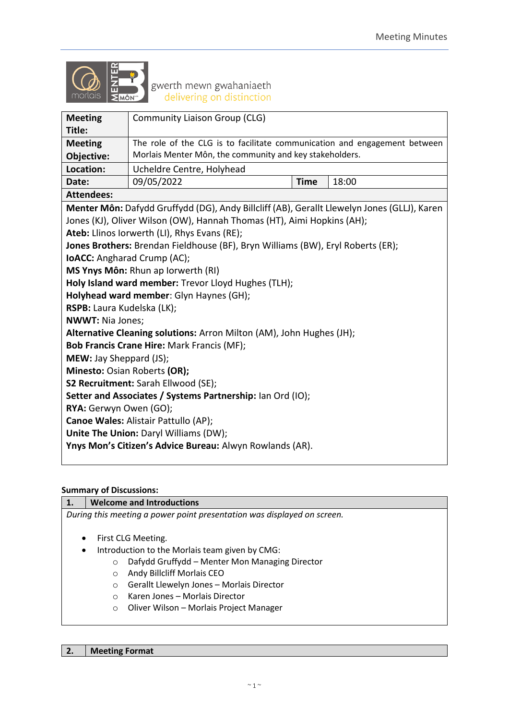

gwerth mewn gwahaniaeth<br>delivering on distinction

| <b>Meeting</b>                                                                              | Community Liaison Group (CLG)                                             |             |       |  |  |
|---------------------------------------------------------------------------------------------|---------------------------------------------------------------------------|-------------|-------|--|--|
| Title:                                                                                      |                                                                           |             |       |  |  |
| <b>Meeting</b>                                                                              | The role of the CLG is to facilitate communication and engagement between |             |       |  |  |
| Objective:                                                                                  | Morlais Menter Môn, the community and key stakeholders.                   |             |       |  |  |
| Location:                                                                                   | Ucheldre Centre, Holyhead                                                 |             |       |  |  |
| Date:                                                                                       | 09/05/2022                                                                | <b>Time</b> | 18:00 |  |  |
| <b>Attendees:</b>                                                                           |                                                                           |             |       |  |  |
| Menter Môn: Dafydd Gruffydd (DG), Andy Billcliff (AB), Gerallt Llewelyn Jones (GLLJ), Karen |                                                                           |             |       |  |  |
| Jones (KJ), Oliver Wilson (OW), Hannah Thomas (HT), Aimi Hopkins (AH);                      |                                                                           |             |       |  |  |
| Ateb: Llinos Iorwerth (LI), Rhys Evans (RE);                                                |                                                                           |             |       |  |  |
| Jones Brothers: Brendan Fieldhouse (BF), Bryn Williams (BW), Eryl Roberts (ER);             |                                                                           |             |       |  |  |
| IoACC: Angharad Crump (AC);                                                                 |                                                                           |             |       |  |  |
| MS Ynys Môn: Rhun ap Iorwerth (RI)                                                          |                                                                           |             |       |  |  |
|                                                                                             | Holy Island ward member: Trevor Lloyd Hughes (TLH);                       |             |       |  |  |
| Holyhead ward member: Glyn Haynes (GH);                                                     |                                                                           |             |       |  |  |
| RSPB: Laura Kudelska (LK);                                                                  |                                                                           |             |       |  |  |
| <b>NWWT: Nia Jones;</b>                                                                     |                                                                           |             |       |  |  |
| Alternative Cleaning solutions: Arron Milton (AM), John Hughes (JH);                        |                                                                           |             |       |  |  |
| <b>Bob Francis Crane Hire: Mark Francis (MF);</b>                                           |                                                                           |             |       |  |  |
| <b>MEW:</b> Jay Sheppard (JS);                                                              |                                                                           |             |       |  |  |
| Minesto: Osian Roberts (OR);                                                                |                                                                           |             |       |  |  |
| S2 Recruitment: Sarah Ellwood (SE);                                                         |                                                                           |             |       |  |  |
| Setter and Associates / Systems Partnership: Ian Ord (IO);                                  |                                                                           |             |       |  |  |
|                                                                                             | RYA: Gerwyn Owen (GO);                                                    |             |       |  |  |
|                                                                                             | Canoe Wales: Alistair Pattullo (AP);                                      |             |       |  |  |
| Unite The Union: Daryl Williams (DW);                                                       |                                                                           |             |       |  |  |
| Ynys Mon's Citizen's Advice Bureau: Alwyn Rowlands (AR).                                    |                                                                           |             |       |  |  |
|                                                                                             |                                                                           |             |       |  |  |

# **Summary of Discussions:**

|                                                                         | <b>Welcome and Introductions</b>                          |  |
|-------------------------------------------------------------------------|-----------------------------------------------------------|--|
| During this meeting a power point presentation was displayed on screen. |                                                           |  |
|                                                                         |                                                           |  |
| $\bullet$                                                               | First CLG Meeting.                                        |  |
| $\bullet$                                                               | Introduction to the Morlais team given by CMG:            |  |
|                                                                         | Dafydd Gruffydd - Menter Mon Managing Director<br>$\circ$ |  |
|                                                                         | $\sim$ Andy Dilleliff Marlaic CEO                         |  |

- o Andy Billcliff Morlais CEO
- o Gerallt Llewelyn Jones Morlais Director
- o Karen Jones Morlais Director
- o Oliver Wilson Morlais Project Manager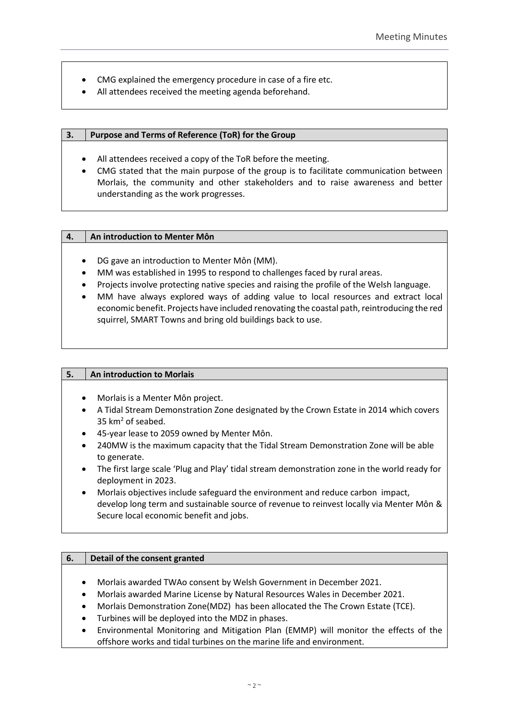- CMG explained the emergency procedure in case of a fire etc.
- All attendees received the meeting agenda beforehand.

## **3. Purpose and Terms of Reference (ToR) for the Group**

- All attendees received a copy of the ToR before the meeting.
- CMG stated that the main purpose of the group is to facilitate communication between Morlais, the community and other stakeholders and to raise awareness and better understanding as the work progresses.

## **4. An introduction to Menter Môn**

- DG gave an introduction to Menter Môn (MM).
- MM was established in 1995 to respond to challenges faced by rural areas.
- Projects involve protecting native species and raising the profile of the Welsh language.
- MM have always explored ways of adding value to local resources and extract local economic benefit. Projects have included renovating the coastal path, reintroducing the red squirrel, SMART Towns and bring old buildings back to use.

### **5. An introduction to Morlais**

- Morlais is a Menter Môn project.
- A Tidal Stream Demonstration Zone designated by the Crown Estate in 2014 which covers 35  $km<sup>2</sup>$  of seabed.
- 45-year lease to 2059 owned by Menter Môn.
- 240MW is the maximum capacity that the Tidal Stream Demonstration Zone will be able to generate.
- The first large scale 'Plug and Play' tidal stream demonstration zone in the world ready for deployment in 2023.
- Morlais objectives include safeguard the environment and reduce carbon impact, develop long term and sustainable source of revenue to reinvest locally via Menter Môn & Secure local economic benefit and jobs.

# **6. Detail of the consent granted**

- Morlais awarded TWAo consent by Welsh Government in December 2021.
- Morlais awarded Marine License by Natural Resources Wales in December 2021.
- Morlais Demonstration Zone(MDZ) has been allocated the The Crown Estate (TCE).
- Turbines will be deployed into the MDZ in phases.
- Environmental Monitoring and Mitigation Plan (EMMP) will monitor the effects of the offshore works and tidal turbines on the marine life and environment.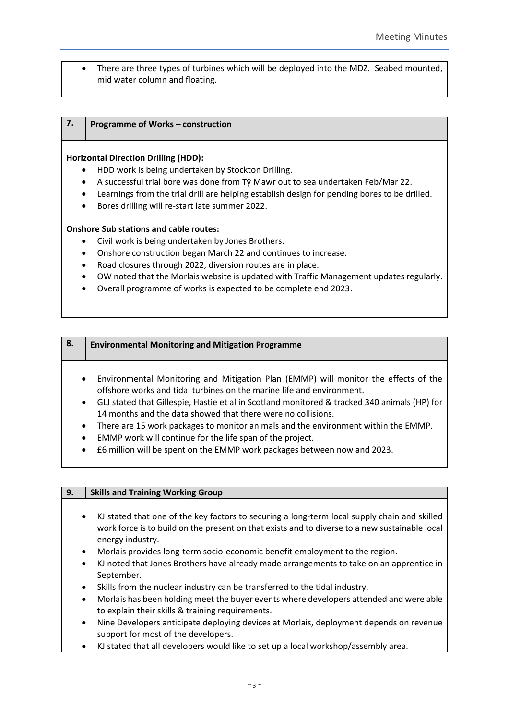• There are three types of turbines which will be deployed into the MDZ. Seabed mounted, mid water column and floating.

# **7. Programme of Works – construction**

### **Horizontal Direction Drilling (HDD):**

- HDD work is being undertaken by Stockton Drilling.
- A successful trial bore was done from Tŷ Mawr out to sea undertaken Feb/Mar 22.
- Learnings from the trial drill are helping establish design for pending bores to be drilled.
- Bores drilling will re-start late summer 2022.

### **Onshore Sub stations and cable routes:**

- Civil work is being undertaken by Jones Brothers.
- Onshore construction began March 22 and continues to increase.
- Road closures through 2022, diversion routes are in place.
- OW noted that the Morlais website is updated with Traffic Management updates regularly.
- Overall programme of works is expected to be complete end 2023.

## **8. Environmental Monitoring and Mitigation Programme**

- Environmental Monitoring and Mitigation Plan (EMMP) will monitor the effects of the offshore works and tidal turbines on the marine life and environment.
- GLJ stated that Gillespie, Hastie et al in Scotland monitored & tracked 340 animals (HP) for 14 months and the data showed that there were no collisions.
- There are 15 work packages to monitor animals and the environment within the EMMP.
- EMMP work will continue for the life span of the project.
- £6 million will be spent on the EMMP work packages between now and 2023.

## **9. Skills and Training Working Group**

- KJ stated that one of the key factors to securing a long-term local supply chain and skilled work force is to build on the present on that exists and to diverse to a new sustainable local energy industry.
- Morlais provides long-term socio-economic benefit employment to the region.
- KJ noted that Jones Brothers have already made arrangements to take on an apprentice in September.
- Skills from the nuclear industry can be transferred to the tidal industry.
- Morlais has been holding meet the buyer events where developers attended and were able to explain their skills & training requirements.
- Nine Developers anticipate deploying devices at Morlais, deployment depends on revenue support for most of the developers.
- KJ stated that all developers would like to set up a local workshop/assembly area.